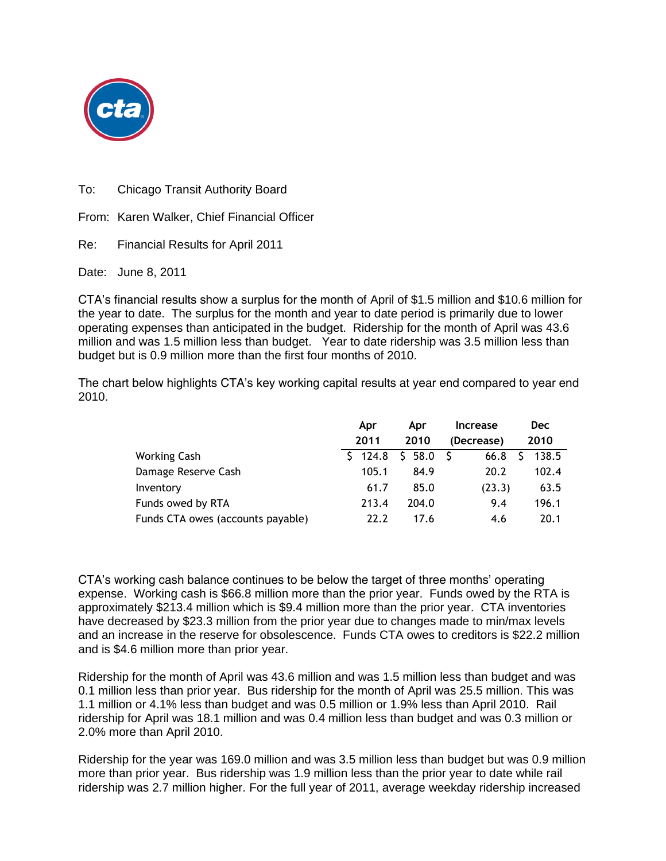

To: Chicago Transit Authority Board

From: Karen Walker, Chief Financial Officer

Re: Financial Results for April 2011

Date: June 8, 2011

CTA's financial results show a surplus for the month of April of \$1.5 million and \$10.6 million for the year to date. The surplus for the month and year to date period is primarily due to lower operating expenses than anticipated in the budget. Ridership for the month of April was 43.6 million and was 1.5 million less than budget. Year to date ridership was 3.5 million less than budget but is 0.9 million more than the first four months of 2010.

The chart below highlights CTA's key working capital results at year end compared to year end 2010.

|                                   | Apr         | Apr      | <b>Increase</b> | <b>Dec</b> |
|-----------------------------------|-------------|----------|-----------------|------------|
|                                   | 2011        | 2010     | (Decrease)      | 2010       |
| <b>Working Cash</b>               | $5 \t124.8$ | \$58.0\$ | 66.8            | 138.5      |
| Damage Reserve Cash               | 105.1       | 84.9     | 20.2            | 102.4      |
| Inventory                         | 61.7        | 85.0     | (23.3)          | 63.5       |
| Funds owed by RTA                 | 213.4       | 204.0    | 9.4             | 196.1      |
| Funds CTA owes (accounts payable) | 22.2        | 17.6     | 4.6             | 20.1       |

CTA's working cash balance continues to be below the target of three months' operating expense. Working cash is \$66.8 million more than the prior year. Funds owed by the RTA is approximately \$213.4 million which is \$9.4 million more than the prior year. CTA inventories have decreased by \$23.3 million from the prior year due to changes made to min/max levels and an increase in the reserve for obsolescence. Funds CTA owes to creditors is \$22.2 million and is \$4.6 million more than prior year.

Ridership for the month of April was 43.6 million and was 1.5 million less than budget and was 0.1 million less than prior year. Bus ridership for the month of April was 25.5 million. This was 1.1 million or 4.1% less than budget and was 0.5 million or 1.9% less than April 2010. Rail ridership for April was 18.1 million and was 0.4 million less than budget and was 0.3 million or 2.0% more than April 2010.

Ridership for the year was 169.0 million and was 3.5 million less than budget but was 0.9 million more than prior year. Bus ridership was 1.9 million less than the prior year to date while rail ridership was 2.7 million higher. For the full year of 2011, average weekday ridership increased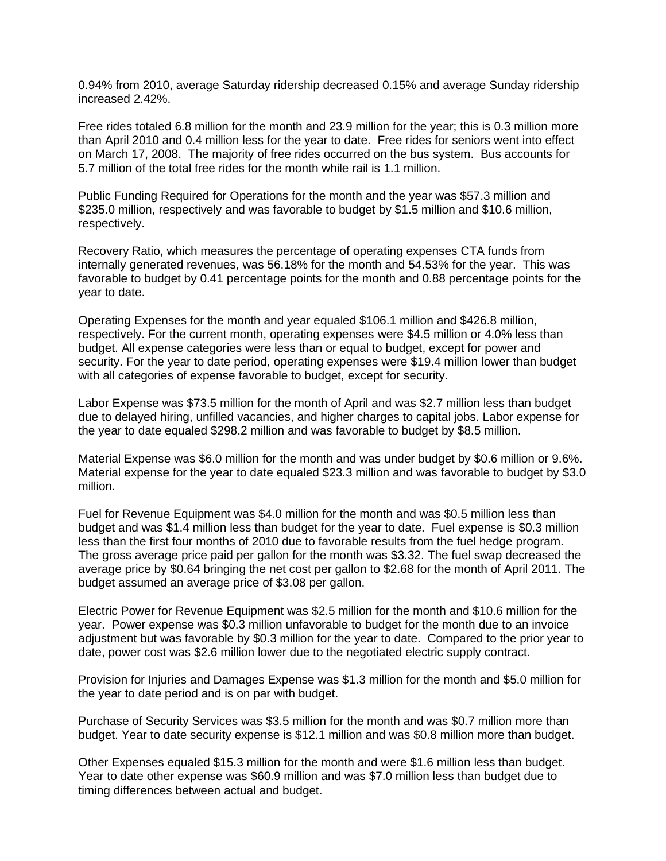0.94% from 2010, average Saturday ridership decreased 0.15% and average Sunday ridership increased 2.42%.

Free rides totaled 6.8 million for the month and 23.9 million for the year; this is 0.3 million more than April 2010 and 0.4 million less for the year to date. Free rides for seniors went into effect on March 17, 2008. The majority of free rides occurred on the bus system. Bus accounts for 5.7 million of the total free rides for the month while rail is 1.1 million.

Public Funding Required for Operations for the month and the year was \$57.3 million and \$235.0 million, respectively and was favorable to budget by \$1.5 million and \$10.6 million, respectively.

Recovery Ratio, which measures the percentage of operating expenses CTA funds from internally generated revenues, was 56.18% for the month and 54.53% for the year. This was favorable to budget by 0.41 percentage points for the month and 0.88 percentage points for the year to date.

Operating Expenses for the month and year equaled \$106.1 million and \$426.8 million, respectively. For the current month, operating expenses were \$4.5 million or 4.0% less than budget. All expense categories were less than or equal to budget, except for power and security. For the year to date period, operating expenses were \$19.4 million lower than budget with all categories of expense favorable to budget, except for security.

Labor Expense was \$73.5 million for the month of April and was \$2.7 million less than budget due to delayed hiring, unfilled vacancies, and higher charges to capital jobs. Labor expense for the year to date equaled \$298.2 million and was favorable to budget by \$8.5 million.

Material Expense was \$6.0 million for the month and was under budget by \$0.6 million or 9.6%. Material expense for the year to date equaled \$23.3 million and was favorable to budget by \$3.0 million.

Fuel for Revenue Equipment was \$4.0 million for the month and was \$0.5 million less than budget and was \$1.4 million less than budget for the year to date. Fuel expense is \$0.3 million less than the first four months of 2010 due to favorable results from the fuel hedge program. The gross average price paid per gallon for the month was \$3.32. The fuel swap decreased the average price by \$0.64 bringing the net cost per gallon to \$2.68 for the month of April 2011. The budget assumed an average price of \$3.08 per gallon.

Electric Power for Revenue Equipment was \$2.5 million for the month and \$10.6 million for the year. Power expense was \$0.3 million unfavorable to budget for the month due to an invoice adjustment but was favorable by \$0.3 million for the year to date. Compared to the prior year to date, power cost was \$2.6 million lower due to the negotiated electric supply contract.

Provision for Injuries and Damages Expense was \$1.3 million for the month and \$5.0 million for the year to date period and is on par with budget.

Purchase of Security Services was \$3.5 million for the month and was \$0.7 million more than budget. Year to date security expense is \$12.1 million and was \$0.8 million more than budget.

Other Expenses equaled \$15.3 million for the month and were \$1.6 million less than budget. Year to date other expense was \$60.9 million and was \$7.0 million less than budget due to timing differences between actual and budget.